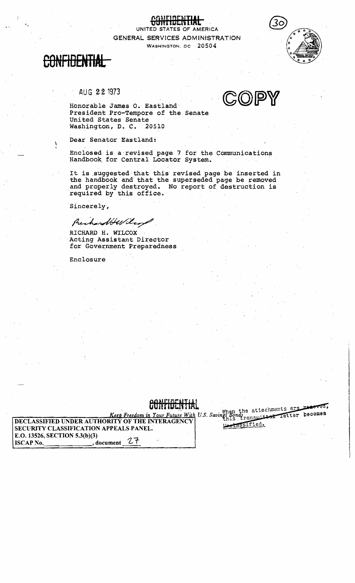UNITED STATES OF AMERICA. GENERAL SERVICES ADMINISTRATION WASHINGTON, DC 20504



١

## AUG 22 1973



Honorable James O. Eastland President Pro-Tempore of the Senate United States Senate Washington, D. C. 20510

Dear Senator Eastland:

Enclosed is a revised page 7 for the Communications Handbook for Central Locator System.

It is suggested that this revised page be inserted in the handbook and that the superseded page be removed and properly destroyed. No report of destruction is required by this office.

Sincerely,

Preshandble lend

RICHARD H. WILCOX Acting Assistant Director for Government Preparedness

Enclosure

### Keep Freedom in Your Future With U.S. Savings Bonds the attachments are reserved, DECLASSIFIED UNDER AUTHORITY OF THE INTERAGENCY crassified. SECURITY CLASSIFICATION APPEALS PANEL. E.O. 13526, SECTION 5.3(b)(3) てて **ISCAP No.** , document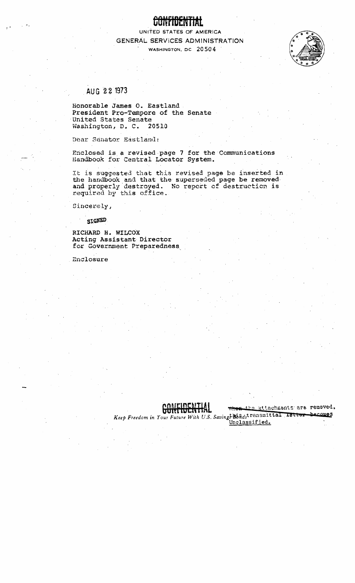UNITED STATES OF AMERICA GENERAL SERVICES ADMINISTRATION WASHINGTON, DC 20504



# AUG 22 1973

Honorable James O. Eastland. President Pro-Tempore of the Senate United States Senate Washington, D. C. 20510

Dear Senator Eastland:

Enclosed is a revised page 7 for the Communications Handbook for Central Locator System.

It is suggested that this revised page be inserted in. the handbook and that the superseded page be removed and properly destroyed. No report of destruction is required by this office.

Sincerely,

SIGNED

RICHARD H. WILCOX Acting Assistant Director for Government Preparedness

Enclosure



when the attachments are removed,

Keep Freedom in Your Future With U.S. Savings Bondstransmittal Ietter becomes

Unclassified.